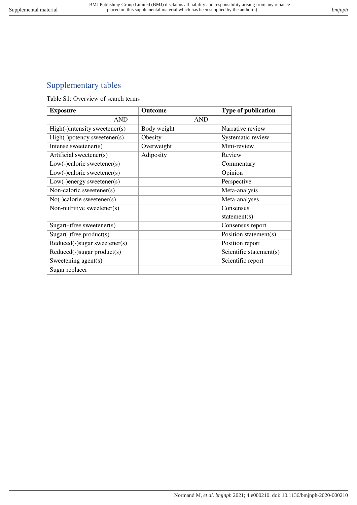## Supplementary tables

Table S1: Overview of search terms

| <b>Exposure</b>               | <b>Outcome</b> | <b>Type of publication</b> |
|-------------------------------|----------------|----------------------------|
| <b>AND</b>                    | <b>AND</b>     |                            |
| High(-)intensity sweetener(s) | Body weight    | Narrative review           |
| High(-)potency sweetener(s)   | Obesity        | Systematic review          |
| Intense sweetener( $s$ )      | Overweight     | Mini-review                |
| Artificial sweetener(s)       | Adiposity      | Review                     |
| $Low(-)$ calorie sweetener(s) |                | Commentary                 |
| $Low(-)$ caloric sweetener(s) |                | Opinion                    |
| $Low(-)energy$ sweetener(s)   |                | Perspective                |
| Non-caloric sweetener(s)      |                | Meta-analysis              |
| $No(-)$ calorie sweetener(s)  |                | Meta-analyses              |
| Non-nutritive sweetener(s)    |                | Consensus                  |
|                               |                | statement(s)               |
| $Sugar(-)$ free sweetener(s)  |                | Consensus report           |
| $Sugar(-)$ free product(s)    |                | Position statement(s)      |
| Reduced(-)sugar sweetener(s)  |                | Position report            |
| Reduced(-)sugar product(s)    |                | Scientific statement(s)    |
| Sweetening agent(s)           |                | Scientific report          |
| Sugar replacer                |                |                            |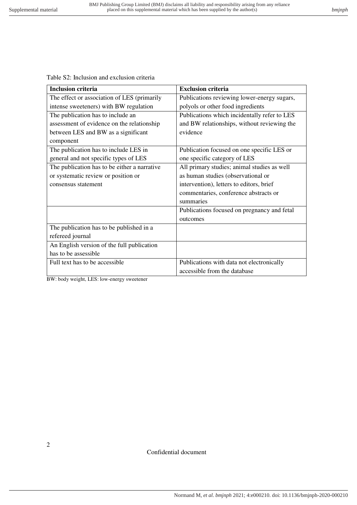Table S2: Inclusion and exclusion criteria

| <b>Inclusion criteria</b>                    | <b>Exclusion criteria</b>                    |
|----------------------------------------------|----------------------------------------------|
| The effect or association of LES (primarily  | Publications reviewing lower-energy sugars,  |
| intense sweeteners) with BW regulation       | polyols or other food ingredients            |
| The publication has to include an            | Publications which incidentally refer to LES |
| assessment of evidence on the relationship   | and BW relationships, without reviewing the  |
| between LES and BW as a significant          | evidence                                     |
| component                                    |                                              |
| The publication has to include LES in        | Publication focused on one specific LES or   |
| general and not specific types of LES        | one specific category of LES                 |
| The publication has to be either a narrative | All primary studies; animal studies as well  |
| or systematic review or position or          | as human studies (observational or           |
| consensus statement                          | intervention), letters to editors, brief     |
|                                              | commentaries, conference abstracts or        |
|                                              | summaries                                    |
|                                              | Publications focused on pregnancy and fetal  |
|                                              | outcomes                                     |
| The publication has to be published in a     |                                              |
| refereed journal                             |                                              |
| An English version of the full publication   |                                              |
| has to be assessible                         |                                              |
| Full text has to be accessible               | Publications with data not electronically    |
|                                              | accessible from the database                 |

BW: body weight, LES: low-energy sweetener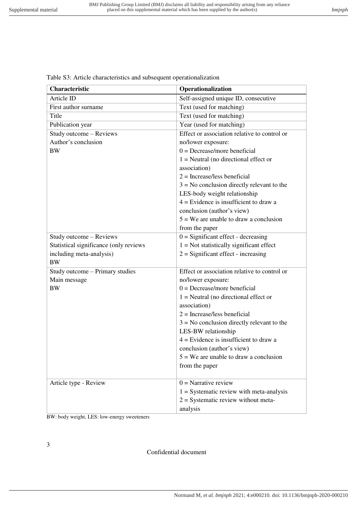| Characteristic                                 | Operationalization                           |
|------------------------------------------------|----------------------------------------------|
| Article ID                                     | Self-assigned unique ID, consecutive         |
| First author surname                           | Text (used for matching)                     |
| Title                                          | Text (used for matching)                     |
| Publication year                               | Year (used for matching)                     |
| Study outcome - Reviews                        | Effect or association relative to control or |
| Author's conclusion                            | no/lower exposure:                           |
| <b>BW</b>                                      | $0 =$ Decrease/more beneficial               |
|                                                | $1 =$ Neutral (no directional effect or      |
|                                                | association)                                 |
|                                                | $2 =$ Increase/less beneficial               |
|                                                | $3 = No$ conclusion directly relevant to the |
|                                                | LES-body weight relationship                 |
|                                                | $4$ = Evidence is insufficient to draw a     |
|                                                | conclusion (author's view)                   |
|                                                | $5 = We$ are unable to draw a conclusion     |
|                                                | from the paper                               |
| Study outcome - Reviews                        | $0 =$ Significant effect - decreasing        |
| Statistical significance (only reviews         | $1 = Not statistically significant effect$   |
| including meta-analysis)                       | $2 =$ Significant effect - increasing        |
| <b>BW</b>                                      |                                              |
| Study outcome – Primary studies                | Effect or association relative to control or |
| Main message                                   | no/lower exposure:                           |
| <b>BW</b>                                      | $0 =$ Decrease/more beneficial               |
|                                                | $1 =$ Neutral (no directional effect or      |
|                                                | association)                                 |
|                                                | $2 =$ Increase/less beneficial               |
|                                                | $3 = No$ conclusion directly relevant to the |
|                                                | LES-BW relationship                          |
|                                                | $4 =$ Evidence is insufficient to draw a     |
|                                                | conclusion (author's view)                   |
|                                                | $5 = We$ are unable to draw a conclusion     |
|                                                | from the paper                               |
| Article type - Review                          | $0 = \text{Narrative review}$                |
|                                                | $1 =$ Systematic review with meta-analysis   |
|                                                | $2 = Systematic$ review without meta-        |
|                                                | analysis                                     |
| $RW1$ hody weight $IFS1$ low-energy sweeteners |                                              |

Table S3: Article characteristics and subsequent operationalization

BW: body weight, LES: low-energy sweeteners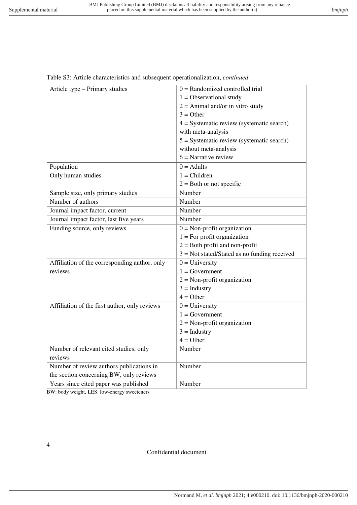| Article type – Primary studies                | $0 =$ Randomized controlled trial              |
|-----------------------------------------------|------------------------------------------------|
|                                               | $1 =$ Observational study                      |
|                                               | $2 =$ Animal and/or in vitro study             |
|                                               | $3 = Other$                                    |
|                                               | $4 = Systematic review (systematic search)$    |
|                                               | with meta-analysis                             |
|                                               | $5 = Systematic review$ (systematic search)    |
|                                               | without meta-analysis                          |
|                                               | $6$ = Narrative review                         |
| Population                                    | $0 =$ Adults                                   |
| Only human studies                            | $1 = Children$                                 |
|                                               | $2 =$ Both or not specific                     |
| Sample size, only primary studies             | Number                                         |
| Number of authors                             | Number                                         |
| Journal impact factor, current                | Number                                         |
| Journal impact factor, last five years        | Number                                         |
| Funding source, only reviews                  | $0 = \text{Non-profit organization}$           |
|                                               | $1 =$ For profit organization                  |
|                                               | $2 =$ Both profit and non-profit               |
|                                               | $3 = Not stated/Stated as no funding received$ |
| Affiliation of the corresponding author, only | $\overline{0}$ = University                    |
| reviews                                       | $1 = Government$                               |
|                                               | $2 = Non-profit organization$                  |
|                                               | $3 =$ Industry                                 |
|                                               | $4 = Other$                                    |
| Affiliation of the first author, only reviews | $0 =$ University                               |
|                                               | $1 = Government$                               |
|                                               | $2$ = Non-profit organization                  |
|                                               | $3 =$ Industry                                 |
|                                               | $4 = Other$                                    |
| Number of relevant cited studies, only        | Number                                         |
| reviews                                       |                                                |
| Number of review authors publications in      | Number                                         |
| the section concerning BW, only reviews       |                                                |
| Years since cited paper was published         | Number                                         |
| BW: body weight, LES: low-energy sweeteners   |                                                |

## Table S3: Article characteristics and subsequent operationalization, *continued*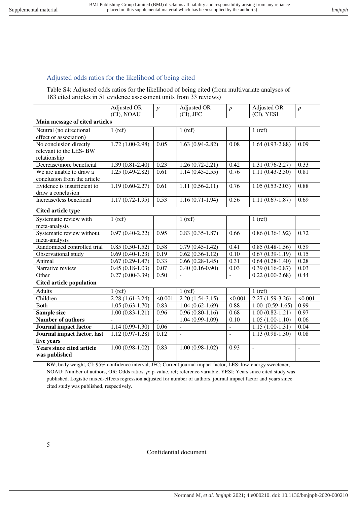## Adjusted odds ratios for the likelihood of being cited

Table S4: Adjusted odds ratios for the likelihood of being cited (from multivariate analyses of 183 cited articles in 51 evidence assessment units from 33 reviews)

|                                  | Adjusted OR         | $\boldsymbol{p}$ | Adjusted OR              | $\boldsymbol{p}$ | Adjusted OR          | $\boldsymbol{p}$         |
|----------------------------------|---------------------|------------------|--------------------------|------------------|----------------------|--------------------------|
|                                  | (CI), NOAU          |                  | (CI), JFC                |                  | (CI), YESI           |                          |
| Main message of cited articles   |                     |                  |                          |                  |                      |                          |
| Neutral (no directional          | $1$ (ref)           |                  | $1$ (ref)                |                  | $1$ (ref)            |                          |
| effect or association)           |                     |                  |                          |                  |                      |                          |
| No conclusion directly           | $1.72(1.00-2.98)$   | 0.05             | $1.63(0.94-2.82)$        | 0.08             | $1.64(0.93-2.88)$    | 0.09                     |
| relevant to the LES-BW           |                     |                  |                          |                  |                      |                          |
| relationship                     |                     |                  |                          |                  |                      |                          |
| Decrease/more beneficial         | $1.39(0.81 - 2.40)$ | 0.23             | $1.26(0.72 - 2.21)$      | 0.42             | $1.31(0.76-2.27)$    | 0.33                     |
| We are unable to draw a          | $1.25(0.49-2.82)$   | 0.61             | $1.14(0.45-2.55)$        | 0.76             | $1.11(0.43-2.50)$    | 0.81                     |
| conclusion from the article      |                     |                  |                          |                  |                      |                          |
| Evidence is insufficient to      | $1.19(0.60-2.27)$   | 0.61             | $1.11(0.56-2.11)$        | 0.76             | $1.05(0.53-2.03)$    | 0.88                     |
| draw a conclusion                |                     |                  |                          |                  |                      |                          |
| Increase/less beneficial         | $1.17(0.72 - 1.95)$ | 0.53             | $1.16(0.71-1.94)$        | 0.56             | $1.11(0.67-1.87)$    | 0.69                     |
| <b>Cited article type</b>        |                     |                  |                          |                  |                      |                          |
| Systematic review with           | $1$ (ref)           |                  | $1$ (ref)                |                  | $1$ (ref)            |                          |
| meta-analysis                    |                     |                  |                          |                  |                      |                          |
| Systematic review without        | $0.97(0.40-2.22)$   | 0.95             | $0.83(0.35-1.87)$        | 0.66             | $0.86(0.36-1.92)$    | 0.72                     |
| meta-analysis                    |                     |                  |                          |                  |                      |                          |
| Randomized controlled trial      | $0.85(0.50-1.52)$   | 0.58             | $0.79(0.45-1.42)$        | 0.41             | $0.85(0.48-1.56)$    | 0.59                     |
| Observational study              | $0.69(0.40-1.23)$   | 0.19             | $0.62(0.36-1.12)$        | 0.10             | $0.67(0.39-1.19)$    | 0.15                     |
| Animal                           | $0.67(0.29-1.47)$   | 0.33             | $0.66(0.28-1.45)$        | 0.31             | $0.64(0.28-1.40)$    | 0.28                     |
| Narrative review                 | $0.45(0.18-1.03)$   | 0.07             | $0.40(0.16-0.90)$        | 0.03             | $0.39(0.16-0.87)$    | 0.03                     |
| Other                            | $0.27(0.00-3.39)$   | 0.50             | $\overline{a}$           | $\overline{a}$   | $0.22(0.00-2.68)$    | 0.44                     |
| <b>Cited article population</b>  |                     |                  |                          |                  |                      |                          |
| <b>Adults</b>                    | $1$ (ref)           |                  | $1$ (ref)                |                  | $1$ (ref)            |                          |
| Children                         | $2.28(1.61-3.24)$   | < 0.001          | $2.20(1.54-3.15)$        | < 0.001          | $2.27(1.59-3.26)$    | < 0.001                  |
| Both                             | $1.05(0.63-1.70)$   | 0.83             | $1.04(0.62-1.69)$        | 0.88             | $1.00$ $(0.59-1.65)$ | 0.99                     |
| Sample size                      | $1.00(0.83-1.21)$   | 0.96             | $0.96(0.80-1.16)$        | 0.68             | $1.00(0.82 - 1.21)$  | 0.97                     |
| <b>Number of authors</b>         |                     |                  | $1.04(0.99-1.09)$        | 0.10             | $1.05(1.00-1.10)$    | 0.06                     |
| <b>Journal impact factor</b>     | $1.14(0.99-1.30)$   | 0.06             | $\Box$                   | $\overline{a}$   | $1.15(1.00-1.31)$    | 0.04                     |
| Journal impact factor, last      | $1.12(0.97-1.28)$   | 0.12             | $\overline{\phantom{a}}$ | ÷.               | $1.13(0.98-1.30)$    | 0.08                     |
| five years                       |                     |                  |                          |                  |                      |                          |
| <b>Years since cited article</b> | $1.00(0.98-1.02)$   | 0.83             | $1.00(0.98-1.02)$        | 0.93             | $\bar{\phantom{a}}$  | $\overline{\phantom{a}}$ |
| was published                    |                     |                  |                          |                  |                      |                          |

BW; body weight, CI; 95% confidence interval, JFC; Current journal impact factor, LES; low-energy sweetener, NOAU; Number of authors, OR; Odds ratios, *p*; p-value, ref; reference variable, YESI; Years since cited study was published. Logistic mixed-effects regression adjusted for number of authors, journal impact factor and years since cited study was published, respectively.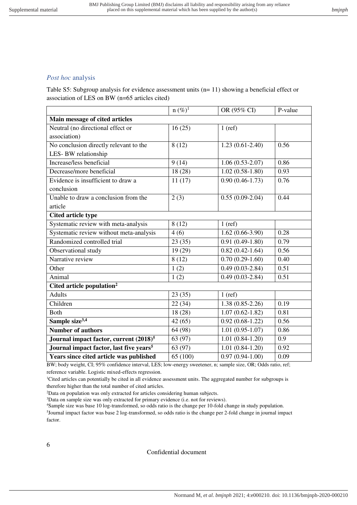## *Post hoc* analysis

Table S5: Subgroup analysis for evidence assessment units (n= 11) showing a beneficial effect or association of LES on BW (n=65 articles cited)

|                                                     | $n (\%)^1$ | OR (95% CI)         | P-value |
|-----------------------------------------------------|------------|---------------------|---------|
| Main message of cited articles                      |            |                     |         |
| Neutral (no directional effect or                   | 16(25)     | $1$ (ref)           |         |
| association)                                        |            |                     |         |
| No conclusion directly relevant to the              | 8(12)      | $1.23(0.61-2.40)$   | 0.56    |
| LES-BW relationship                                 |            |                     |         |
| Increase/less beneficial                            | 9(14)      | $1.06(0.53-2.07)$   | 0.86    |
| Decrease/more beneficial                            | 18(28)     | $1.02(0.58-1.80)$   | 0.93    |
| Evidence is insufficient to draw a                  | 11(17)     | $0.90(0.46-1.73)$   | 0.76    |
| conclusion                                          |            |                     |         |
| Unable to draw a conclusion from the                | 2(3)       | $0.55(0.09-2.04)$   | 0.44    |
| article                                             |            |                     |         |
| Cited article type                                  |            |                     |         |
| Systematic review with meta-analysis                | 8(12)      | $1$ (ref)           |         |
| Systematic review without meta-analysis             | 4(6)       | $1.62(0.66-3.90)$   | 0.28    |
| Randomized controlled trial                         | 23(35)     | $0.91(0.49-1.80)$   | 0.79    |
| Observational study                                 | 19 (29)    | $0.82(0.42 - 1.64)$ | 0.56    |
| Narrative review                                    | 8(12)      | $0.70(0.29-1.60)$   | 0.40    |
| Other                                               | 1(2)       | $0.49(0.03-2.84)$   | 0.51    |
| Animal                                              | 1(2)       | $0.49(0.03-2.84)$   | 0.51    |
| Cited article population <sup>2</sup>               |            |                     |         |
| <b>Adults</b>                                       | 23(35)     | $1$ (ref)           |         |
| Children                                            | 22(34)     | $1.38(0.85-2.26)$   | 0.19    |
| <b>Both</b>                                         | 18(28)     | $1.07(0.62 - 1.82)$ | 0.81    |
| Sample size <sup>3,4</sup>                          | 42(65)     | $0.92(0.68-1.22)$   | 0.56    |
| <b>Number of authors</b>                            | 64 (98)    | $1.01(0.95-1.07)$   | 0.86    |
| Journal impact factor, current (2018) <sup>5</sup>  | 63 (97)    | $1.01(0.84-1.20)$   | 0.9     |
| Journal impact factor, last five years <sup>5</sup> | 63 (97)    | $1.01(0.84-1.20)$   | 0.92    |
| Years since cited article was published             | 65 (100)   | $0.97(0.94-1.00)$   | 0.09    |

BW; body weight, CI; 95% confidence interval, LES; low-energy sweetener, n; sample size, OR; Odds ratio, ref; reference variable. Logistic mixed-effects regression.

<sup>1</sup>Cited articles can potentially be cited in all evidence assessment units. The aggregated number for subgroups is therefore higher than the total number of cited articles.

<sup>2</sup>Data on population was only extracted for articles considering human subjects.

<sup>3</sup>Data on sample size was only extracted for primary evidence (i.e. not for reviews).

<sup>4</sup>Sample size was base 10 log-transformed, so odds ratio is the change per 10-fold change in study population.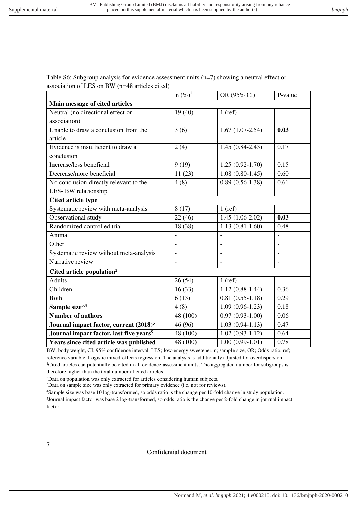Table S6: Subgroup analysis for evidence assessment units (n=7) showing a neutral effect or association of LES on BW (n=48 articles cited)

|                                                     | $n (\%)^1$     | OR (95% CI)         | P-value        |
|-----------------------------------------------------|----------------|---------------------|----------------|
| Main message of cited articles                      |                |                     |                |
| Neutral (no directional effect or                   | 19(40)         | $1$ (ref)           |                |
| association)                                        |                |                     |                |
| Unable to draw a conclusion from the                | 3(6)           | $1.67(1.07-2.54)$   | 0.03           |
| article                                             |                |                     |                |
| Evidence is insufficient to draw a                  | 2(4)           | $1.45(0.84-2.43)$   | 0.17           |
| conclusion                                          |                |                     |                |
| Increase/less beneficial                            | 9(19)          | $1.25(0.92 - 1.70)$ | 0.15           |
| Decrease/more beneficial                            | 11(23)         | $1.08(0.80-1.45)$   | 0.60           |
| No conclusion directly relevant to the              | 4(8)           | $0.89(0.56-1.38)$   | 0.61           |
| LES-BW relationship                                 |                |                     |                |
| Cited article type                                  |                |                     |                |
| Systematic review with meta-analysis                | 8(17)          | $1$ (ref)           |                |
| Observational study                                 | 22(46)         | $1.45(1.06-2.02)$   | 0.03           |
| Randomized controlled trial                         | 18 (38)        | $1.13(0.81-1.60)$   | 0.48           |
| Animal                                              | $\overline{a}$ |                     | $\overline{a}$ |
| Other                                               | $\overline{a}$ |                     |                |
| Systematic review without meta-analysis             | $\overline{a}$ | $\overline{a}$      | $\overline{a}$ |
| Narrative review                                    | $\overline{a}$ | L,                  |                |
| Cited article population <sup>2</sup>               |                |                     |                |
| <b>Adults</b>                                       | 26(54)         | $1$ (ref)           |                |
| Children                                            | 16(33)         | $1.12(0.88-1.44)$   | 0.36           |
| <b>Both</b>                                         | 6(13)          | $0.81(0.55-1.18)$   | 0.29           |
| Sample size <sup>3,4</sup>                          | 4(8)           | $1.09(0.96-1.23)$   | 0.18           |
| <b>Number of authors</b>                            | 48 (100)       | $0.97(0.93-1.00)$   | 0.06           |
| Journal impact factor, current (2018) <sup>5</sup>  | 46 (96)        | $1.03(0.94-1.13)$   | 0.47           |
| Journal impact factor, last five years <sup>5</sup> | 48 (100)       | $1.02(0.93-1.12)$   | 0.64           |
| Years since cited article was published             | 48 (100)       | $1.00(0.99-1.01)$   | 0.78           |

BW; body weight, CI; 95% confidence interval, LES; low-energy sweetener, n; sample size, OR; Odds ratio, ref; reference variable. Logistic mixed-effects regression. The analysis is additionally adjusted for overdispersion. <sup>1</sup>Cited articles can potentially be cited in all evidence assessment units. The aggregated number for subgroups is therefore higher than the total number of cited articles.

<sup>2</sup>Data on population was only extracted for articles considering human subjects.

<sup>3</sup>Data on sample size was only extracted for primary evidence (i.e. not for reviews).

<sup>4</sup>Sample size was base 10 log-transformed, so odds ratio is the change per 10-fold change in study population.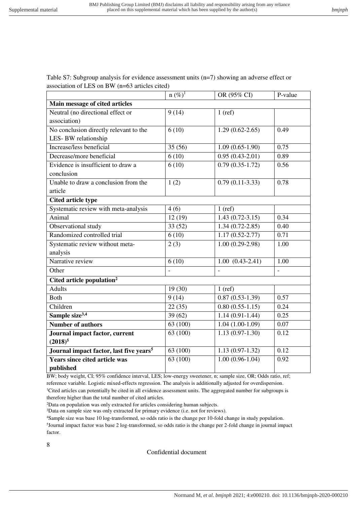Table S7: Subgroup analysis for evidence assessment units (n=7) showing an adverse effect or association of LES on BW (n=63 articles cited)

|                                                     | $n (\%)^1$ | OR (95% CI)         | P-value |
|-----------------------------------------------------|------------|---------------------|---------|
| Main message of cited articles                      |            |                     |         |
| Neutral (no directional effect or                   | 9(14)      | $1$ (ref)           |         |
| association)                                        |            |                     |         |
| No conclusion directly relevant to the              | 6(10)      | $1.29(0.62 - 2.65)$ | 0.49    |
| LES-BW relationship                                 |            |                     |         |
| Increase/less beneficial                            | 35 (56)    | $1.09(0.65-1.90)$   | 0.75    |
| Decrease/more beneficial                            | 6(10)      | $0.95(0.43-2.01)$   | 0.89    |
| Evidence is insufficient to draw a                  | 6(10)      | $0.79(0.35-1.72)$   | 0.56    |
| conclusion                                          |            |                     |         |
| Unable to draw a conclusion from the                | 1(2)       | $0.79(0.11-3.33)$   | 0.78    |
| article                                             |            |                     |         |
| <b>Cited article type</b>                           |            |                     |         |
| Systematic review with meta-analysis                | 4(6)       | $1$ (ref)           |         |
| Animal                                              | 12(19)     | $1.43(0.72-3.15)$   | 0.34    |
| Observational study                                 | 33(52)     | $1.34(0.72 - 2.85)$ | 0.40    |
| Randomized controlled trial                         | 6(10)      | $1.17(0.52 - 2.77)$ | 0.71    |
| Systematic review without meta-                     | 2(3)       | $1.00(0.29-2.98)$   | 1.00    |
| analysis                                            |            |                     |         |
| Narrative review                                    | 6(10)      | $1.00(0.43-2.41)$   | 1.00    |
| Other                                               |            | $\overline{a}$      |         |
| Cited article population <sup>2</sup>               |            |                     |         |
| <b>Adults</b>                                       | 19(30)     | $1$ (ref)           |         |
| <b>Both</b>                                         | 9(14)      | $0.87(0.53-1.39)$   | 0.57    |
| Children                                            | 22(35)     | $0.80(0.55-1.15)$   | 0.24    |
| Sample size <sup>3,4</sup>                          | 39(62)     | $1.14(0.91-1.44)$   | 0.25    |
| <b>Number of authors</b>                            | 63 (100)   | $1.04(1.00-1.09)$   | 0.07    |
| Journal impact factor, current                      | 63 (100)   | $1.13(0.97-1.30)$   | 0.12    |
| $(2018)^5$                                          |            |                     |         |
| Journal impact factor, last five years <sup>5</sup> | 63 (100)   | $1.13(0.97-1.32)$   | 0.12    |
| <b>Years since cited article was</b>                | 63 (100)   | $1.00(0.96-1.04)$   | 0.92    |
| published                                           |            |                     |         |

BW; body weight, CI; 95% confidence interval, LES; low-energy sweetener, n; sample size, OR; Odds ratio, ref; reference variable. Logistic mixed-effects regression. The analysis is additionally adjusted for overdispersion. <sup>1</sup>Cited articles can potentially be cited in all evidence assessment units. The aggregated number for subgroups is therefore higher than the total number of cited articles.

<sup>2</sup>Data on population was only extracted for articles considering human subjects.

<sup>3</sup>Data on sample size was only extracted for primary evidence (i.e. not for reviews).

<sup>4</sup>Sample size was base 10 log-transformed, so odds ratio is the change per 10-fold change in study population.

5 Journal impact factor was base 2 log-transformed, so odds ratio is the change per 2-fold change in journal impact factor.

8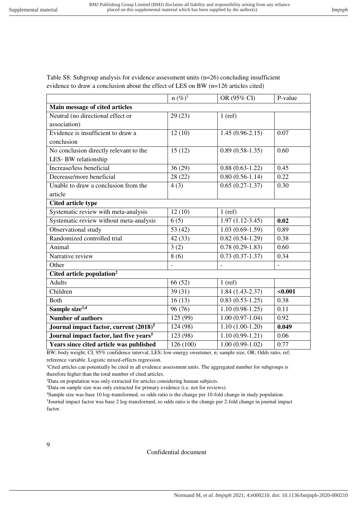|                                                     | $n (\%)^1$     | OR (95% CI)              | P-value |
|-----------------------------------------------------|----------------|--------------------------|---------|
| Main message of cited articles                      |                |                          |         |
| Neutral (no directional effect or                   | 29(23)         | $1$ (ref)                |         |
| association)                                        |                |                          |         |
| Evidence is insufficient to draw a                  | 12(10)         | $1.45(0.96-2.15)$        | 0.07    |
| conclusion                                          |                |                          |         |
| No conclusion directly relevant to the              | 15(12)         | $0.89(0.58-1.35)$        | 0.60    |
| LES-BW relationship                                 |                |                          |         |
| Increase/less beneficial                            | 36(29)         | $0.88(0.63-1.22)$        | 0.45    |
| Decrease/more beneficial                            | 28 (22)        | $0.80(0.56-1.14)$        | 0.22    |
| Unable to draw a conclusion from the                | 4(3)           | $0.65(0.27-1.37)$        | 0.30    |
| article                                             |                |                          |         |
| <b>Cited article type</b>                           |                |                          |         |
| Systematic review with meta-analysis                | 12(10)         | $1$ (ref)                |         |
| Systematic review without meta-analysis             | 6(5)           | $1.97(1.12-3.45)$        | 0.02    |
| Observational study                                 | 53 $(42)$      | $1.03(0.69-1.59)$        | 0.89    |
| Randomized controlled trial                         | 42(33)         | $0.82(0.54-1.29)$        | 0.38    |
| Animal                                              | 3(2)           | $0.78(0.29-1.83)$        | 0.60    |
| Narrative review                                    | 8(6)           | $0.73(0.37-1.37)$        | 0.34    |
| Other                                               | $\blacksquare$ | $\overline{\phantom{a}}$ |         |
| Cited article population <sup>2</sup>               |                |                          |         |
| <b>Adults</b>                                       | 66 (52)        | $1$ (ref)                |         |
| Children                                            | 39(31)         | $1.84(1.43-2.37)$        | $0.001$ |
| <b>Both</b>                                         | 16(13)         | $0.83(0.53-1.25)$        | 0.38    |
| Sample size <sup>3,4</sup>                          | 96 (76)        | $1.10(0.98-1.25)$        | 0.11    |
| <b>Number of authors</b>                            | 125 (99)       | $1.00(0.97-1.04)$        | 0.92    |
| Journal impact factor, current (2018) <sup>5</sup>  | 124 (98)       | $1.10(1.00-1.20)$        | 0.049   |
| Journal impact factor, last five years <sup>5</sup> | 123 (98)       | $1.10(0.99-1.21)$        | 0.06    |
| Years since cited article was published             | 126 (100)      | $1.00(0.99-1.02)$        | 0.77    |

Table S8: Subgroup analysis for evidence assessment units (n=26) concluding insufficient evidence to draw a conclusion about the effect of LES on BW (n=126 articles cited)

BW; body weight, CI; 95% confidence interval, LES; low-energy sweetener, n; sample size, OR; Odds ratio, ref; reference variable. Logistic mixed-effects regression.

<sup>1</sup>Cited articles can potentially be cited in all evidence assessment units. The aggregated number for subgroups is therefore higher than the total number of cited articles.

<sup>2</sup>Data on population was only extracted for articles considering human subjects.

<sup>3</sup>Data on sample size was only extracted for primary evidence (i.e. not for reviews).

<sup>4</sup>Sample size was base 10 log-transformed, so odds ratio is the change per 10-fold change in study population.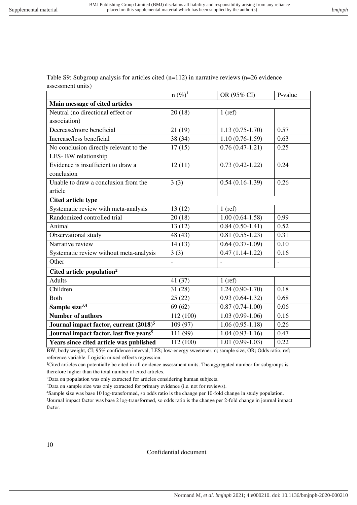Table S9: Subgroup analysis for articles cited  $(n=112)$  in narrative reviews  $(n=26$  evidence assessment units)

|                                                     | $n (\%)^T$     | OR (95% CI)         | P-value |
|-----------------------------------------------------|----------------|---------------------|---------|
| Main message of cited articles                      |                |                     |         |
| Neutral (no directional effect or                   | 20(18)         | $1$ (ref)           |         |
| association)                                        |                |                     |         |
| Decrease/more beneficial                            | 21(19)         | $1.13(0.75-1.70)$   | 0.57    |
| Increase/less beneficial                            | 38 (34)        | $1.10(0.76-1.59)$   | 0.63    |
| No conclusion directly relevant to the              | 17(15)         | $0.76(0.47-1.21)$   | 0.25    |
| LES-BW relationship                                 |                |                     |         |
| Evidence is insufficient to draw a                  | 12(11)         | $0.73(0.42 - 1.22)$ | 0.24    |
| conclusion                                          |                |                     |         |
| Unable to draw a conclusion from the                | 3(3)           | $0.54(0.16-1.39)$   | 0.26    |
| article                                             |                |                     |         |
| <b>Cited article type</b>                           |                |                     |         |
| Systematic review with meta-analysis                | 13(12)         | $1$ (ref)           |         |
| Randomized controlled trial                         | 20(18)         | $1.00(0.64-1.58)$   | 0.99    |
| Animal                                              | 13(12)         | $0.84(0.50-1.41)$   | 0.52    |
| Observational study                                 | 48 (43)        | $0.81(0.55-1.23)$   | 0.31    |
| Narrative review                                    | 14(13)         | $0.64(0.37-1.09)$   | 0.10    |
| Systematic review without meta-analysis             | 3(3)           | $0.47(1.14-1.22)$   | 0.16    |
| Other                                               | $\overline{a}$ | $\overline{a}$      |         |
| Cited article population <sup>2</sup>               |                |                     |         |
| <b>Adults</b>                                       | 41 (37)        | $1$ (ref)           |         |
| Children                                            | 31(28)         | $1.24(0.90-1.70)$   | 0.18    |
| <b>Both</b>                                         | 25(22)         | $0.93(0.64-1.32)$   | 0.68    |
| Sample size <sup>3,4</sup>                          | 69(62)         | $0.87(0.74-1.00)$   | 0.06    |
| <b>Number of authors</b>                            | 112 (100)      | $1.03(0.99-1.06)$   | 0.16    |
| Journal impact factor, current (2018) <sup>5</sup>  | 109 (97)       | $1.06(0.95-1.18)$   | 0.26    |
| Journal impact factor, last five years <sup>5</sup> | 111 (99)       | $1.04(0.93-1.16)$   | 0.47    |
| Years since cited article was published             | 112 (100)      | $1.01(0.99-1.03)$   | 0.22    |

BW; body weight, CI; 95% confidence interval, LES; low-energy sweetener, n; sample size, OR; Odds ratio, ref; reference variable. Logistic mixed-effects regression.

<sup>1</sup>Cited articles can potentially be cited in all evidence assessment units. The aggregated number for subgroups is therefore higher than the total number of cited articles.

<sup>2</sup>Data on population was only extracted for articles considering human subjects.

<sup>3</sup>Data on sample size was only extracted for primary evidence (i.e. not for reviews).

<sup>4</sup>Sample size was base 10 log-transformed, so odds ratio is the change per 10-fold change in study population.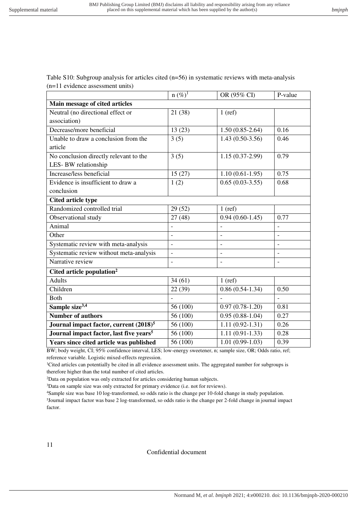Table S10: Subgroup analysis for articles cited (n=56) in systematic reviews with meta-analysis (n=11 evidence assessment units)

|                                                     | $n (\%)^1$               | OR (95% CI)              | P-value        |
|-----------------------------------------------------|--------------------------|--------------------------|----------------|
| Main message of cited articles                      |                          |                          |                |
| Neutral (no directional effect or                   | 21 (38)                  | $1$ (ref)                |                |
| association)                                        |                          |                          |                |
| Decrease/more beneficial                            | 13(23)                   | $1.50(0.85-2.64)$        | 0.16           |
| Unable to draw a conclusion from the                | 3(5)                     | $1.43(0.50-3.56)$        | 0.46           |
| article                                             |                          |                          |                |
| No conclusion directly relevant to the              | 3(5)                     | $1.15(0.37-2.99)$        | 0.79           |
| LES-BW relationship                                 |                          |                          |                |
| Increase/less beneficial                            | 15(27)                   | $1.10(0.61-1.95)$        | 0.75           |
| Evidence is insufficient to draw a                  | 1(2)                     | $0.65(0.03-3.55)$        | 0.68           |
| conclusion                                          |                          |                          |                |
| <b>Cited article type</b>                           |                          |                          |                |
| Randomized controlled trial                         | 29(52)                   | $1$ (ref)                |                |
| Observational study                                 | 27(48)                   | $0.94(0.60-1.45)$        | 0.77           |
| Animal                                              |                          |                          |                |
| Other                                               | $\overline{a}$           | $\overline{a}$           | $\overline{a}$ |
| Systematic review with meta-analysis                | $\overline{a}$           | $\blacksquare$           |                |
| Systematic review without meta-analysis             | $\overline{\phantom{a}}$ | $\overline{\phantom{a}}$ |                |
| Narrative review                                    | $\overline{a}$           | $\overline{a}$           |                |
| Cited article population <sup>2</sup>               |                          |                          |                |
| <b>Adults</b>                                       | 34(61)                   | $1$ (ref)                |                |
| Children                                            | 22(39)                   | $0.86(0.54-1.34)$        | 0.50           |
| <b>Both</b>                                         |                          |                          |                |
| Sample size <sup>3,4</sup>                          | 56 (100)                 | $0.97(0.78-1.20)$        | 0.81           |
| <b>Number of authors</b>                            | 56 (100)                 | $0.95(0.88-1.04)$        | 0.27           |
| Journal impact factor, current (2018) <sup>5</sup>  | 56 (100)                 | $1.11(0.92-1.31)$        | 0.26           |
| Journal impact factor, last five years <sup>5</sup> | 56 (100)                 | $1.11(0.91-1.33)$        | 0.28           |
| Years since cited article was published             | 56 (100)                 | $1.01(0.99-1.03)$        | 0.39           |

BW; body weight, CI; 95% confidence interval, LES; low-energy sweetener, n; sample size, OR; Odds ratio, ref; reference variable. Logistic mixed-effects regression.

<sup>1</sup>Cited articles can potentially be cited in all evidence assessment units. The aggregated number for subgroups is therefore higher than the total number of cited articles.

<sup>2</sup>Data on population was only extracted for articles considering human subjects.

<sup>3</sup>Data on sample size was only extracted for primary evidence (i.e. not for reviews).

<sup>4</sup>Sample size was base 10 log-transformed, so odds ratio is the change per 10-fold change in study population.

5 Journal impact factor was base 2 log-transformed, so odds ratio is the change per 2-fold change in journal impact factor.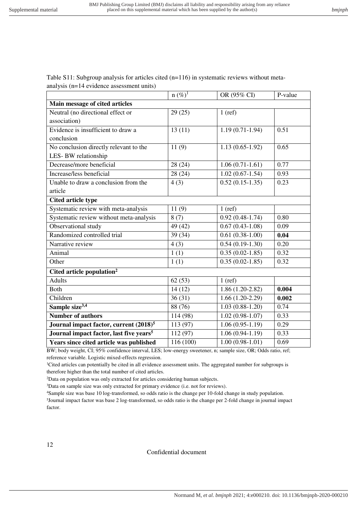Table  $S11$ : Subgroup analysis for articles cited ( $n=116$ ) in systematic reviews without metaanalysis (n=14 evidence assessment units)

|                                                     | $n (\%)^1$ | OR (95% CI)         | P-value |
|-----------------------------------------------------|------------|---------------------|---------|
| Main message of cited articles                      |            |                     |         |
| Neutral (no directional effect or                   | 29(25)     | $1$ (ref)           |         |
| association)                                        |            |                     |         |
| Evidence is insufficient to draw a                  | 13(11)     | $1.19(0.71-1.94)$   | 0.51    |
| conclusion                                          |            |                     |         |
| No conclusion directly relevant to the              | 11(9)      | $1.13(0.65-1.92)$   | 0.65    |
| LES-BW relationship                                 |            |                     |         |
| Decrease/more beneficial                            | 28 (24)    | $1.06(0.71-1.61)$   | 0.77    |
| Increase/less beneficial                            | 28(24)     | $1.02(0.67-1.54)$   | 0.93    |
| Unable to draw a conclusion from the                | 4(3)       | $0.52(0.15-1.35)$   | 0.23    |
| article                                             |            |                     |         |
| <b>Cited article type</b>                           |            |                     |         |
| Systematic review with meta-analysis                | 11(9)      | $1$ (ref)           |         |
| Systematic review without meta-analysis             | 8(7)       | $0.92(0.48-1.74)$   | 0.80    |
| Observational study                                 | 49 (42)    | $0.67(0.43-1.08)$   | 0.09    |
| Randomized controlled trial                         | 39 (34)    | $0.61(0.38-1.00)$   | 0.04    |
| Narrative review                                    | 4(3)       | $0.54(0.19-1.30)$   | 0.20    |
| Animal                                              | 1(1)       | $0.35(0.02-1.85)$   | 0.32    |
| Other                                               | 1(1)       | $0.35(0.02 - 1.85)$ | 0.32    |
| Cited article population <sup>2</sup>               |            |                     |         |
| <b>Adults</b>                                       | 62(53)     | $1$ (ref)           |         |
| <b>Both</b>                                         | 14(12)     | $1.86(1.20-2.82)$   | 0.004   |
| Children                                            | 36(31)     | $1.66(1.20-2.29)$   | 0.002   |
| Sample size <sup>3,4</sup>                          | 88 (76)    | $1.03(0.88-1.20)$   | 0.74    |
| <b>Number of authors</b>                            | 114 (98)   | $1.02(0.98-1.07)$   | 0.33    |
| Journal impact factor, current (2018) <sup>5</sup>  | 113 (97)   | $1.06(0.95-1.19)$   | 0.29    |
| Journal impact factor, last five years <sup>5</sup> | 112 (97)   | $1.06(0.94-1.19)$   | 0.33    |
| Years since cited article was published             | 116 (100)  | $1.00(0.98-1.01)$   | 0.69    |

BW; body weight, CI; 95% confidence interval, LES; low-energy sweetener, n; sample size, OR; Odds ratio, ref; reference variable. Logistic mixed-effects regression.

<sup>1</sup>Cited articles can potentially be cited in all evidence assessment units. The aggregated number for subgroups is therefore higher than the total number of cited articles.

<sup>2</sup>Data on population was only extracted for articles considering human subjects.

<sup>3</sup>Data on sample size was only extracted for primary evidence (i.e. not for reviews).

<sup>4</sup>Sample size was base 10 log-transformed, so odds ratio is the change per 10-fold change in study population.